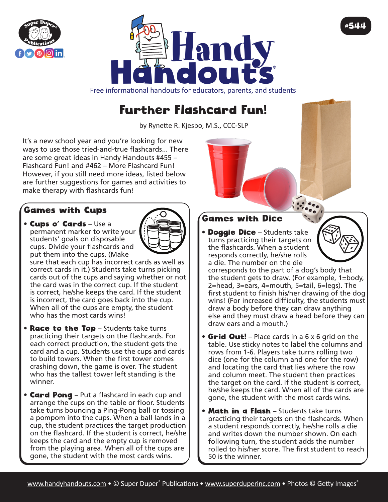



Free informational handouts for educators, parents, and students

## Further Flashcard Fun!

by Rynette R. Kjesbo, M.S., CCC-SLP

It's a new school year and you're looking for new ways to use those tried-and-true flashcards... There are some great ideas in Handy Handouts #455 – Flashcard Fun! and #462 – More Flashcard Fun! However, if you still need more ideas, listed below are further suggestions for games and activities to make therapy with flashcards fun!

## Games with Cups

• Cups o' Cards – Use a permanent marker to write your students' goals on disposable cups. Divide your flashcards and put them into the cups. (Make



sure that each cup has incorrect cards as well as correct cards in it.) Students take turns picking cards out of the cups and saying whether or not the card was in the correct cup. If the student is correct, he/she keeps the card. If the student is incorrect, the card goes back into the cup. When all of the cups are empty, the student who has the most cards wins!

- Race to the Top Students take turns practicing their targets on the flashcards. For each correct production, the student gets the card and a cup. Students use the cups and cards to build towers. When the first tower comes crashing down, the game is over. The student who has the tallest tower left standing is the winner.
- **Card Pong** Put a flashcard in each cup and arrange the cups on the table or floor. Students take turns bouncing a Ping-Pong ball or tossing a pompom into the cups. When a ball lands in a cup, the student practices the target production on the flashcard. If the student is correct, he/she keeps the card and the empty cup is removed from the playing area. When all of the cups are gone, the student with the most cards wins.

## Games with Dice

• Doggie Dice – Students take turns practicing their targets on the flashcards. When a student responds correctly, he/she rolls a die. The number on the die

corresponds to the part of a dog's body that the student gets to draw. (For example, 1=body, 2=head, 3=ears, 4=mouth, 5=tail, 6=legs). The first student to finish his/her drawing of the dog wins! (For increased difficulty, the students must draw a body before they can draw anything else and they must draw a head before they can draw ears and a mouth.)

#544

- Grid Out! Place cards in a 6 x 6 grid on the table. Use sticky notes to label the columns and rows from 1-6. Players take turns rolling two dice (one for the column and one for the row) and locating the card that lies where the row and column meet. The student then practices the target on the card. If the student is correct, he/she keeps the card. When all of the cards are gone, the student with the most cards wins.
- Math in a Flash Students take turns practicing their targets on the flashcards. When a student responds correctly, he/she rolls a die and writes down the number shown. On each following turn, the student adds the number rolled to his/her score. The first student to reach 50 is the winner.